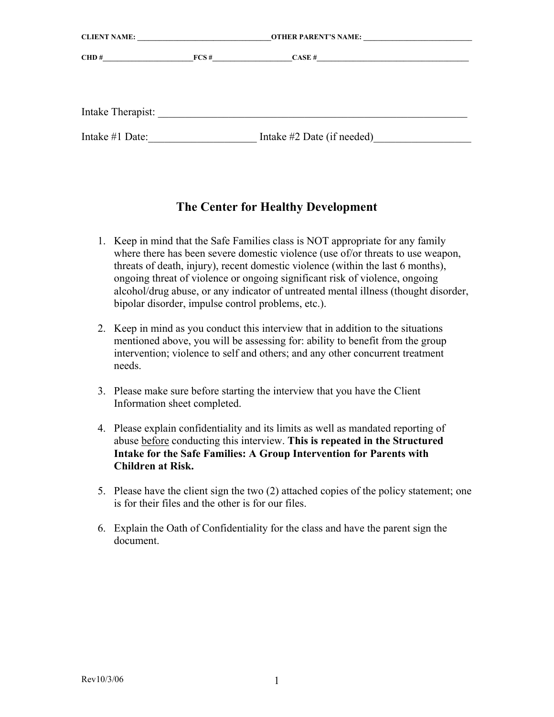| <b>CLIENT NAME:</b> |                         |                                                                                                                                    |  |
|---------------------|-------------------------|------------------------------------------------------------------------------------------------------------------------------------|--|
| CHD #               | $\text{FCS}\,\text{\#}$ | $CASE \#$<br><u> 1989 - Jan Barbara, martin da shekara tsara ma shekara tsa na shekara tsara tsara tsara tsara tsara tsara tsa</u> |  |
| Intake Therapist:   |                         |                                                                                                                                    |  |
| Intake #1 Date:     |                         | Intake $#2$ Date (if needed)                                                                                                       |  |

## **The Center for Healthy Development**

- 1. Keep in mind that the Safe Families class is NOT appropriate for any family where there has been severe domestic violence (use of/or threats to use weapon, threats of death, injury), recent domestic violence (within the last 6 months), ongoing threat of violence or ongoing significant risk of violence, ongoing alcohol/drug abuse, or any indicator of untreated mental illness (thought disorder, bipolar disorder, impulse control problems, etc.).
- 2. Keep in mind as you conduct this interview that in addition to the situations mentioned above, you will be assessing for: ability to benefit from the group intervention; violence to self and others; and any other concurrent treatment needs.
- 3. Please make sure before starting the interview that you have the Client Information sheet completed.
- 4. Please explain confidentiality and its limits as well as mandated reporting of abuse before conducting this interview. **This is repeated in the Structured Intake for the Safe Families: A Group Intervention for Parents with Children at Risk.**
- 5. Please have the client sign the two (2) attached copies of the policy statement; one is for their files and the other is for our files.
- 6. Explain the Oath of Confidentiality for the class and have the parent sign the document.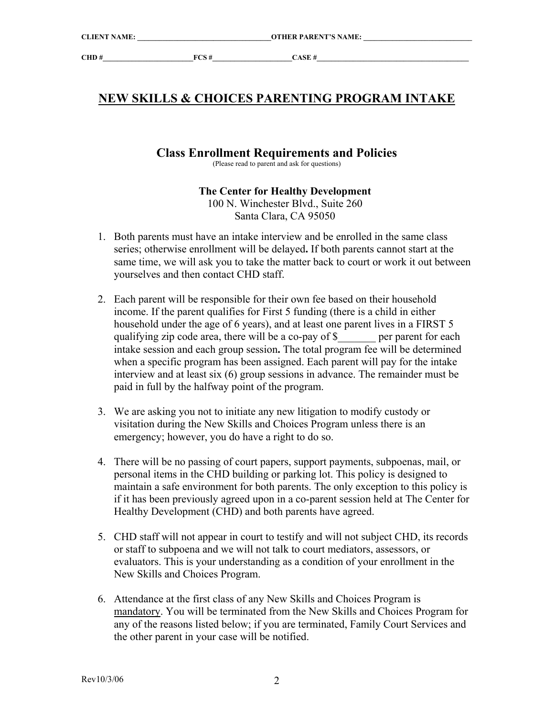# **NEW SKILLS & CHOICES PARENTING PROGRAM INTAKE**

### **Class Enrollment Requirements and Policies**

(Please read to parent and ask for questions)

#### **The Center for Healthy Development**

100 N. Winchester Blvd., Suite 260 Santa Clara, CA 95050

- 1. Both parents must have an intake interview and be enrolled in the same class series; otherwise enrollment will be delayed**.** If both parents cannot start at the same time, we will ask you to take the matter back to court or work it out between yourselves and then contact CHD staff.
- 2. Each parent will be responsible for their own fee based on their household income. If the parent qualifies for First 5 funding (there is a child in either household under the age of 6 years), and at least one parent lives in a FIRST 5 qualifying zip code area, there will be a co-pay of \$\_\_\_\_\_\_\_ per parent for each intake session and each group session**.** The total program fee will be determined when a specific program has been assigned. Each parent will pay for the intake interview and at least six (6) group sessions in advance. The remainder must be paid in full by the halfway point of the program.
- 3. We are asking you not to initiate any new litigation to modify custody or visitation during the New Skills and Choices Program unless there is an emergency; however, you do have a right to do so.
- 4. There will be no passing of court papers, support payments, subpoenas, mail, or personal items in the CHD building or parking lot. This policy is designed to maintain a safe environment for both parents. The only exception to this policy is if it has been previously agreed upon in a co-parent session held at The Center for Healthy Development (CHD) and both parents have agreed.
- 5. CHD staff will not appear in court to testify and will not subject CHD, its records or staff to subpoena and we will not talk to court mediators, assessors, or evaluators. This is your understanding as a condition of your enrollment in the New Skills and Choices Program.
- 6. Attendance at the first class of any New Skills and Choices Program is mandatory. You will be terminated from the New Skills and Choices Program for any of the reasons listed below; if you are terminated, Family Court Services and the other parent in your case will be notified.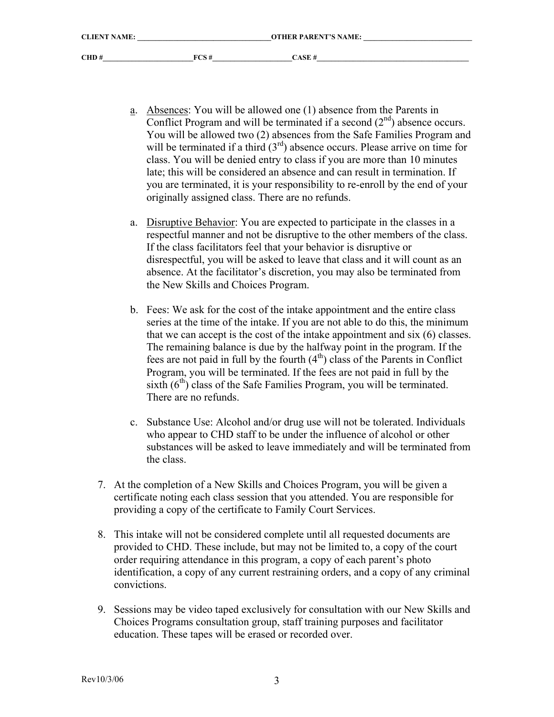- a. Absences: You will be allowed one (1) absence from the Parents in Conflict Program and will be terminated if a second  $(2<sup>nd</sup>)$  absence occurs. You will be allowed two (2) absences from the Safe Families Program and will be terminated if a third  $(3<sup>rd</sup>)$  absence occurs. Please arrive on time for class. You will be denied entry to class if you are more than 10 minutes late; this will be considered an absence and can result in termination. If you are terminated, it is your responsibility to re-enroll by the end of your originally assigned class. There are no refunds.
- a. Disruptive Behavior: You are expected to participate in the classes in a respectful manner and not be disruptive to the other members of the class. If the class facilitators feel that your behavior is disruptive or disrespectful, you will be asked to leave that class and it will count as an absence. At the facilitator's discretion, you may also be terminated from the New Skills and Choices Program.
- b. Fees: We ask for the cost of the intake appointment and the entire class series at the time of the intake. If you are not able to do this, the minimum that we can accept is the cost of the intake appointment and six (6) classes. The remaining balance is due by the halfway point in the program. If the fees are not paid in full by the fourth  $(4<sup>th</sup>)$  class of the Parents in Conflict Program, you will be terminated. If the fees are not paid in full by the sixth  $(6<sup>th</sup>)$  class of the Safe Families Program, you will be terminated. There are no refunds.
- c. Substance Use: Alcohol and/or drug use will not be tolerated. Individuals who appear to CHD staff to be under the influence of alcohol or other substances will be asked to leave immediately and will be terminated from the class.
- 7. At the completion of a New Skills and Choices Program, you will be given a certificate noting each class session that you attended. You are responsible for providing a copy of the certificate to Family Court Services.
- 8. This intake will not be considered complete until all requested documents are provided to CHD. These include, but may not be limited to, a copy of the court order requiring attendance in this program, a copy of each parent's photo identification, a copy of any current restraining orders, and a copy of any criminal convictions.
- 9. Sessions may be video taped exclusively for consultation with our New Skills and Choices Programs consultation group, staff training purposes and facilitator education. These tapes will be erased or recorded over.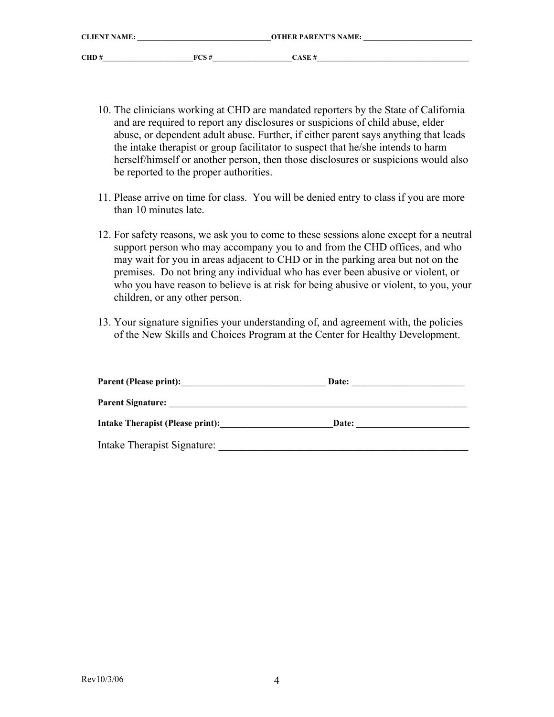| <b>CLIENT NAME:</b> |       | <b>OTHER PARENT'S NAME:</b> |
|---------------------|-------|-----------------------------|
| CHD#                | FCS # | CASE #                      |

- 10. The clinicians working at CHD are mandated reporters by the State of California and are required to report any disclosures or suspicions of child abuse, elder abuse, or dependent adult abuse. Further, if either parent says anything that leads the intake therapist or group facilitator to suspect that he/she intends to harm herself/himself or another person, then those disclosures or suspicions would also be reported to the proper authorities.
- 11. Please arrive on time for class. You will be denied entry to class if you are more than 10 minutes late.
- 12. For safety reasons, we ask you to come to these sessions alone except for a neutral support person who may accompany you to and from the CHD offices, and who may wait for you in areas adjacent to CHD or in the parking area but not on the premises. Do not bring any individual who has ever been abusive or violent, or who you have reason to believe is at risk for being abusive or violent, to you, your children, or any other person.
- 13. Your signature signifies your understanding of, and agreement with, the policies of the New Skills and Choices Program at the Center for Healthy Development.

| <b>Parent (Please print):</b>    | Date: |  |
|----------------------------------|-------|--|
| <b>Parent Signature:</b>         |       |  |
| Intake Therapist (Please print): | Date: |  |
| Intake Therapist Signature:      |       |  |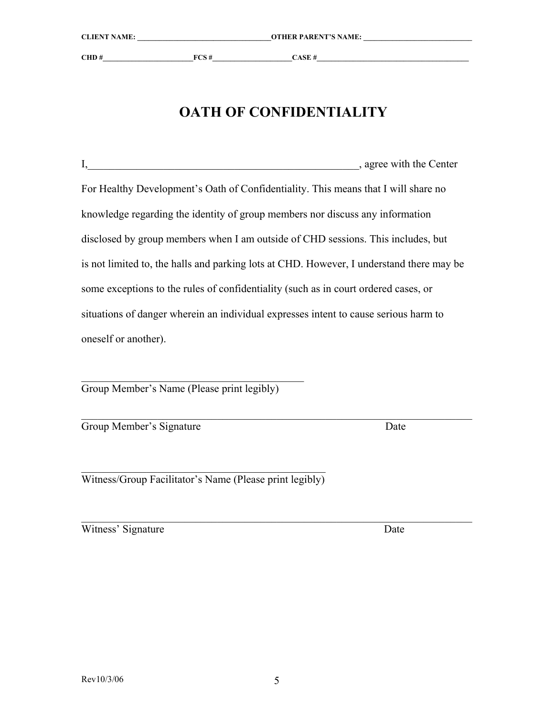| $I_{\star}$<br>, agree with the Center                                                   |
|------------------------------------------------------------------------------------------|
|                                                                                          |
| For Healthy Development's Oath of Confidentiality. This means that I will share no       |
| knowledge regarding the identity of group members nor discuss any information            |
| disclosed by group members when I am outside of CHD sessions. This includes, but         |
| is not limited to, the halls and parking lots at CHD. However, I understand there may be |
| some exceptions to the rules of confidentiality (such as in court ordered cases, or      |

situations of danger wherein an individual expresses intent to cause serious harm to oneself or another).

 $\mathcal{L}_\text{max}$  , and the set of the set of the set of the set of the set of the set of the set of the set of the set of the set of the set of the set of the set of the set of the set of the set of the set of the set of the Group Member's Name (Please print legibly)

 $\mathcal{L}_\text{max}$  , and the contribution of the contribution of the contribution of the contribution of the contribution of the contribution of the contribution of the contribution of the contribution of the contribution of t Group Member's Signature Date

 $\mathcal{L}_\text{max}$  and  $\mathcal{L}_\text{max}$  and  $\mathcal{L}_\text{max}$  and  $\mathcal{L}_\text{max}$  and  $\mathcal{L}_\text{max}$ Witness/Group Facilitator's Name (Please print legibly)

Witness' Signature Date

 $\mathcal{L}_\text{max}$  , and the contribution of the contribution of the contribution of the contribution of the contribution of the contribution of the contribution of the contribution of the contribution of the contribution of t

**CLIENT NAME: \_\_\_\_\_\_\_\_\_\_\_\_\_\_\_\_\_\_\_\_\_\_\_\_\_\_\_\_\_\_\_\_\_\_\_\_\_OTHER PARENT'S NAME: \_\_\_\_\_\_\_\_\_\_\_\_\_\_\_\_\_\_\_\_\_\_\_\_\_\_\_\_\_\_** 

**CHD #\_\_\_\_\_\_\_\_\_\_\_\_\_\_\_\_\_\_\_\_\_\_\_\_\_FCS #\_\_\_\_\_\_\_\_\_\_\_\_\_\_\_\_\_\_\_\_\_\_CASE #\_\_\_\_\_\_\_\_\_\_\_\_\_\_\_\_\_\_\_\_\_\_\_\_\_\_\_\_\_\_\_\_\_\_\_\_\_\_\_\_\_\_** 

**OATH OF CONFIDENTIALITY**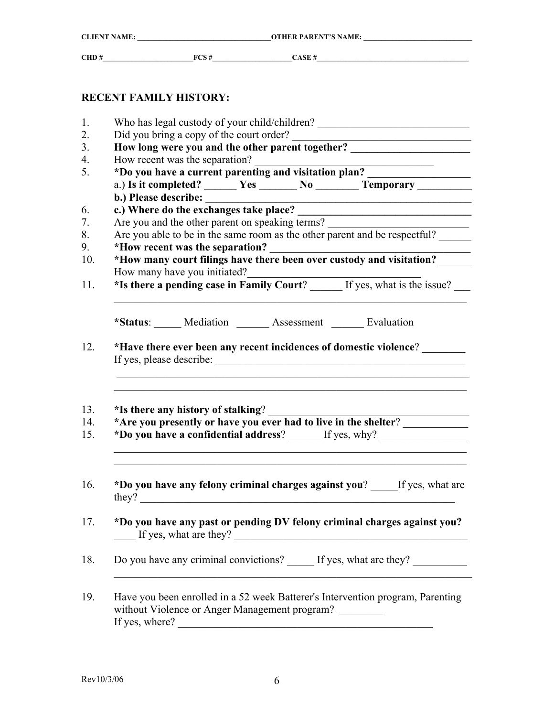| <b>CLIENT NAME:</b> |      | <b>OTHER PARENT'S NAME:</b> |  |
|---------------------|------|-----------------------------|--|
| CHD#                | FCS# | CASE H                      |  |
|                     |      |                             |  |

## **RECENT FAMILY HISTORY:**

| How long were you and the other parent together? _______________________________                                                                    |                                                                                                                           |  |  |                                                                                                                                                                                                                                      |                                                                                                                      |  |  |
|-----------------------------------------------------------------------------------------------------------------------------------------------------|---------------------------------------------------------------------------------------------------------------------------|--|--|--------------------------------------------------------------------------------------------------------------------------------------------------------------------------------------------------------------------------------------|----------------------------------------------------------------------------------------------------------------------|--|--|
|                                                                                                                                                     | How recent was the separation?<br>How recent was the separation?<br>*Do you have a current parenting and visitation plan? |  |  |                                                                                                                                                                                                                                      |                                                                                                                      |  |  |
| a.) Is it completed? ________ Yes ________ No __________ Temporary _____________                                                                    |                                                                                                                           |  |  |                                                                                                                                                                                                                                      |                                                                                                                      |  |  |
|                                                                                                                                                     |                                                                                                                           |  |  |                                                                                                                                                                                                                                      |                                                                                                                      |  |  |
|                                                                                                                                                     |                                                                                                                           |  |  |                                                                                                                                                                                                                                      | <u> 1980 - Johann Barn, amerikan besteman besteman besteman besteman besteman besteman besteman besteman bestema</u> |  |  |
| c.) Where do the exchanges take place?                                                                                                              |                                                                                                                           |  |  |                                                                                                                                                                                                                                      |                                                                                                                      |  |  |
| Are you and the other parent on speaking terms?<br>Are you able to be in the same room as the other parent and be respectful?                       |                                                                                                                           |  |  |                                                                                                                                                                                                                                      |                                                                                                                      |  |  |
| *How recent was the separation?                                                                                                                     |                                                                                                                           |  |  |                                                                                                                                                                                                                                      |                                                                                                                      |  |  |
| *How many court filings have there been over custody and visitation?                                                                                |                                                                                                                           |  |  | <u> 1989 - Johann John Stein, markin fan it fjort fan it fjort fan it fjort fan it fjort fan it fjort fan it fjort fan it fjort fan it fjort fan it fjort fan it fjort fan it fjort fan it fjort fan it fjort fan it fjort fan i</u> |                                                                                                                      |  |  |
| How many have you initiated?                                                                                                                        |                                                                                                                           |  |  |                                                                                                                                                                                                                                      |                                                                                                                      |  |  |
| *Is there a pending case in Family Court? _____ If yes, what is the issue?                                                                          |                                                                                                                           |  |  |                                                                                                                                                                                                                                      |                                                                                                                      |  |  |
|                                                                                                                                                     |                                                                                                                           |  |  |                                                                                                                                                                                                                                      |                                                                                                                      |  |  |
|                                                                                                                                                     |                                                                                                                           |  |  |                                                                                                                                                                                                                                      |                                                                                                                      |  |  |
| *Status: Mediation _____ Assessment _____ Evaluation                                                                                                |                                                                                                                           |  |  |                                                                                                                                                                                                                                      |                                                                                                                      |  |  |
| *Have there ever been any recent incidences of domestic violence?                                                                                   |                                                                                                                           |  |  |                                                                                                                                                                                                                                      |                                                                                                                      |  |  |
|                                                                                                                                                     |                                                                                                                           |  |  |                                                                                                                                                                                                                                      |                                                                                                                      |  |  |
|                                                                                                                                                     |                                                                                                                           |  |  |                                                                                                                                                                                                                                      |                                                                                                                      |  |  |
| *Is there any history of stalking?                                                                                                                  |                                                                                                                           |  |  |                                                                                                                                                                                                                                      |                                                                                                                      |  |  |
|                                                                                                                                                     |                                                                                                                           |  |  |                                                                                                                                                                                                                                      |                                                                                                                      |  |  |
| *Are you presently or have you ever had to live in the shelter?<br>*Do you have a confidential address? ______ If yes, why? _______________________ |                                                                                                                           |  |  |                                                                                                                                                                                                                                      |                                                                                                                      |  |  |
|                                                                                                                                                     |                                                                                                                           |  |  |                                                                                                                                                                                                                                      |                                                                                                                      |  |  |
| *Do you have any felony criminal charges against you? If yes, what are                                                                              |                                                                                                                           |  |  |                                                                                                                                                                                                                                      |                                                                                                                      |  |  |
| *Do you have any past or pending DV felony criminal charges against you?<br>If yes, what are they?                                                  |                                                                                                                           |  |  |                                                                                                                                                                                                                                      |                                                                                                                      |  |  |
| Do you have any criminal convictions? _____ If yes, what are they?                                                                                  |                                                                                                                           |  |  |                                                                                                                                                                                                                                      |                                                                                                                      |  |  |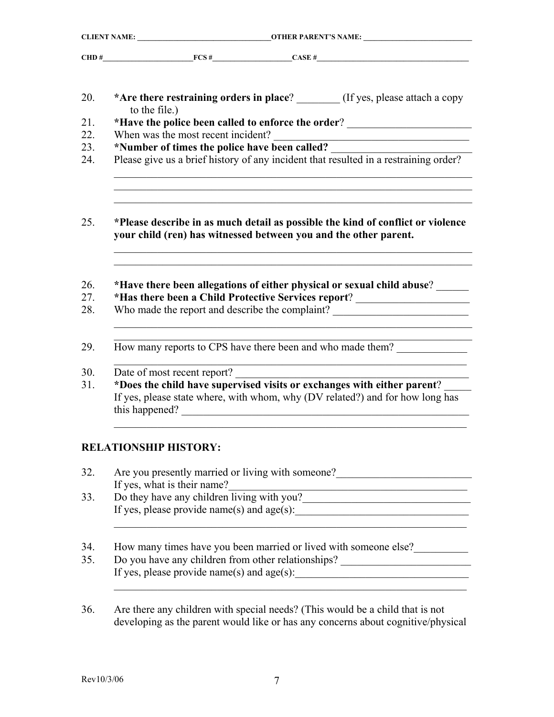|               |                                                                  | CHD # $FCS \#$ CASE #                                                                                                                                            |  |  |  |
|---------------|------------------------------------------------------------------|------------------------------------------------------------------------------------------------------------------------------------------------------------------|--|--|--|
| to the file.) |                                                                  | *Are there restraining orders in place? ________ (If yes, please attach a copy                                                                                   |  |  |  |
|               |                                                                  | *Have the police been called to enforce the order? _____________________________                                                                                 |  |  |  |
|               | When was the most recent incident?                               |                                                                                                                                                                  |  |  |  |
|               |                                                                  | <u> 1989 - Jan James James Barnett, fransk politik (d. 1989)</u>                                                                                                 |  |  |  |
|               |                                                                  | *Number of times the police have been called?<br>Please give us a brief history of any incident that resulted in a restraining order?                            |  |  |  |
|               | your child (ren) has witnessed between you and the other parent. | *Please describe in as much detail as possible the kind of conflict or violence                                                                                  |  |  |  |
|               |                                                                  |                                                                                                                                                                  |  |  |  |
|               |                                                                  | *Have there been allegations of either physical or sexual child abuse? _____<br>*Has there been a Child Protective Services report? ____________________________ |  |  |  |
|               |                                                                  | Who made the report and describe the complaint? ________________________________                                                                                 |  |  |  |
|               |                                                                  | How many reports to CPS have there been and who made them?                                                                                                       |  |  |  |
|               | Date of most recent report?                                      | *Does the child have supervised visits or exchanges with either parent?                                                                                          |  |  |  |

# **RELATIONSHIP HISTORY:**

| Are you presently married or living with some one?<br>If yes, what is their name?                                      |
|------------------------------------------------------------------------------------------------------------------------|
| Do they have any children living with you?                                                                             |
| If yes, please provide name(s) and $age(s)$ :                                                                          |
|                                                                                                                        |
|                                                                                                                        |
| How many times have you been married or lived with someone else?<br>Do you have any children from other relationships? |

36. Are there any children with special needs? (This would be a child that is not developing as the parent would like or has any concerns about cognitive/physical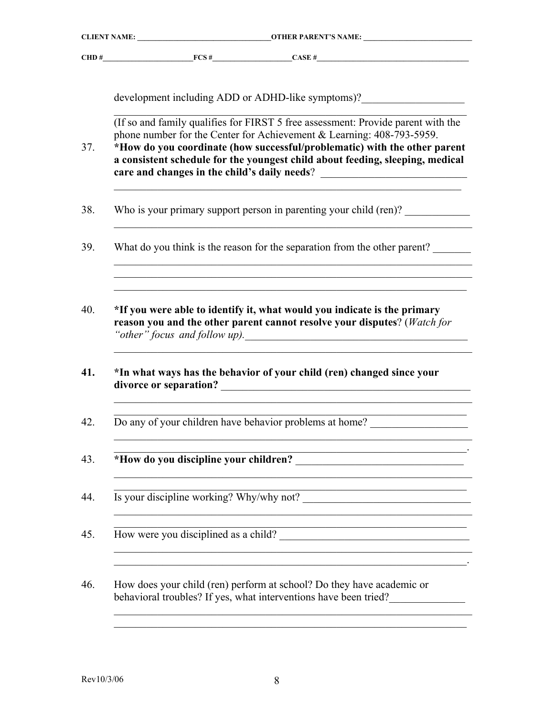| <b>CLIENT NAME:</b> |       | <b>OTHER PARENT'S NAME:</b> |
|---------------------|-------|-----------------------------|
| CHD#                | FCS # | CASE #                      |

development including ADD or ADHD-like symptoms)?\_\_\_\_\_\_\_\_\_\_\_\_\_\_\_\_\_\_\_\_\_\_\_\_\_\_\_\_\_\_\_

 $\mathcal{L}_\mathcal{L} = \mathcal{L}_\mathcal{L} = \mathcal{L}_\mathcal{L} = \mathcal{L}_\mathcal{L} = \mathcal{L}_\mathcal{L} = \mathcal{L}_\mathcal{L} = \mathcal{L}_\mathcal{L} = \mathcal{L}_\mathcal{L} = \mathcal{L}_\mathcal{L} = \mathcal{L}_\mathcal{L} = \mathcal{L}_\mathcal{L} = \mathcal{L}_\mathcal{L} = \mathcal{L}_\mathcal{L} = \mathcal{L}_\mathcal{L} = \mathcal{L}_\mathcal{L} = \mathcal{L}_\mathcal{L} = \mathcal{L}_\mathcal{L}$  (If so and family qualifies for FIRST 5 free assessment: Provide parent with the phone number for the Center for Achievement & Learning: 408-793-5959.

37. **\*How do you coordinate (how successful/problematic) with the other parent a consistent schedule for the youngest child about feeding, sleeping, medical care and changes in the child's daily needs**? \_\_\_\_\_\_\_\_\_\_\_\_\_\_\_\_\_\_\_\_\_\_\_\_\_\_\_

 $\mathcal{L}_\text{max} = \frac{1}{2} \sum_{i=1}^n \mathcal{L}_\text{max}(\mathbf{z}_i - \mathbf{z}_i)$ 

 $\mathcal{L}_\text{max} = \mathcal{L}_\text{max} = \mathcal{L}_\text{max} = \mathcal{L}_\text{max} = \mathcal{L}_\text{max} = \mathcal{L}_\text{max} = \mathcal{L}_\text{max} = \mathcal{L}_\text{max} = \mathcal{L}_\text{max} = \mathcal{L}_\text{max} = \mathcal{L}_\text{max} = \mathcal{L}_\text{max} = \mathcal{L}_\text{max} = \mathcal{L}_\text{max} = \mathcal{L}_\text{max} = \mathcal{L}_\text{max} = \mathcal{L}_\text{max} = \mathcal{L}_\text{max} = \mathcal{$  $\mathcal{L}_\mathcal{L} = \mathcal{L}_\mathcal{L} = \mathcal{L}_\mathcal{L} = \mathcal{L}_\mathcal{L} = \mathcal{L}_\mathcal{L} = \mathcal{L}_\mathcal{L} = \mathcal{L}_\mathcal{L} = \mathcal{L}_\mathcal{L} = \mathcal{L}_\mathcal{L} = \mathcal{L}_\mathcal{L} = \mathcal{L}_\mathcal{L} = \mathcal{L}_\mathcal{L} = \mathcal{L}_\mathcal{L} = \mathcal{L}_\mathcal{L} = \mathcal{L}_\mathcal{L} = \mathcal{L}_\mathcal{L} = \mathcal{L}_\mathcal{L}$  $\mathcal{L}_\mathcal{L} = \mathcal{L}_\mathcal{L} = \mathcal{L}_\mathcal{L} = \mathcal{L}_\mathcal{L} = \mathcal{L}_\mathcal{L} = \mathcal{L}_\mathcal{L} = \mathcal{L}_\mathcal{L} = \mathcal{L}_\mathcal{L} = \mathcal{L}_\mathcal{L} = \mathcal{L}_\mathcal{L} = \mathcal{L}_\mathcal{L} = \mathcal{L}_\mathcal{L} = \mathcal{L}_\mathcal{L} = \mathcal{L}_\mathcal{L} = \mathcal{L}_\mathcal{L} = \mathcal{L}_\mathcal{L} = \mathcal{L}_\mathcal{L}$ 

- 38. Who is your primary support person in parenting your child (ren)?
- 39. What do you think is the reason for the separation from the other parent?
- 40. **\*If you were able to identify it, what would you indicate is the primary reason you and the other parent cannot resolve your disputes**? (*Watch for "other" focus and follow up).*\_\_\_\_\_\_\_\_\_\_\_\_\_\_\_\_\_\_\_\_\_\_\_\_\_\_\_\_\_\_\_\_\_\_\_\_\_\_\_\_\_

 $\mathcal{L}_\mathcal{L} = \mathcal{L}_\mathcal{L} = \mathcal{L}_\mathcal{L} = \mathcal{L}_\mathcal{L} = \mathcal{L}_\mathcal{L} = \mathcal{L}_\mathcal{L} = \mathcal{L}_\mathcal{L} = \mathcal{L}_\mathcal{L} = \mathcal{L}_\mathcal{L} = \mathcal{L}_\mathcal{L} = \mathcal{L}_\mathcal{L} = \mathcal{L}_\mathcal{L} = \mathcal{L}_\mathcal{L} = \mathcal{L}_\mathcal{L} = \mathcal{L}_\mathcal{L} = \mathcal{L}_\mathcal{L} = \mathcal{L}_\mathcal{L}$ 

 $\mathcal{L}_\mathcal{L} = \mathcal{L}_\mathcal{L} = \mathcal{L}_\mathcal{L} = \mathcal{L}_\mathcal{L} = \mathcal{L}_\mathcal{L} = \mathcal{L}_\mathcal{L} = \mathcal{L}_\mathcal{L} = \mathcal{L}_\mathcal{L} = \mathcal{L}_\mathcal{L} = \mathcal{L}_\mathcal{L} = \mathcal{L}_\mathcal{L} = \mathcal{L}_\mathcal{L} = \mathcal{L}_\mathcal{L} = \mathcal{L}_\mathcal{L} = \mathcal{L}_\mathcal{L} = \mathcal{L}_\mathcal{L} = \mathcal{L}_\mathcal{L}$  $\mathcal{L}_\mathcal{L} = \mathcal{L}_\mathcal{L} = \mathcal{L}_\mathcal{L} = \mathcal{L}_\mathcal{L} = \mathcal{L}_\mathcal{L} = \mathcal{L}_\mathcal{L} = \mathcal{L}_\mathcal{L} = \mathcal{L}_\mathcal{L} = \mathcal{L}_\mathcal{L} = \mathcal{L}_\mathcal{L} = \mathcal{L}_\mathcal{L} = \mathcal{L}_\mathcal{L} = \mathcal{L}_\mathcal{L} = \mathcal{L}_\mathcal{L} = \mathcal{L}_\mathcal{L} = \mathcal{L}_\mathcal{L} = \mathcal{L}_\mathcal{L}$ 

 $\mathcal{L}_\mathcal{L} = \mathcal{L}_\mathcal{L} = \mathcal{L}_\mathcal{L} = \mathcal{L}_\mathcal{L} = \mathcal{L}_\mathcal{L} = \mathcal{L}_\mathcal{L} = \mathcal{L}_\mathcal{L} = \mathcal{L}_\mathcal{L} = \mathcal{L}_\mathcal{L} = \mathcal{L}_\mathcal{L} = \mathcal{L}_\mathcal{L} = \mathcal{L}_\mathcal{L} = \mathcal{L}_\mathcal{L} = \mathcal{L}_\mathcal{L} = \mathcal{L}_\mathcal{L} = \mathcal{L}_\mathcal{L} = \mathcal{L}_\mathcal{L}$ 

 $\mathcal{L}_\mathcal{L} = \mathcal{L}_\mathcal{L} = \mathcal{L}_\mathcal{L} = \mathcal{L}_\mathcal{L} = \mathcal{L}_\mathcal{L} = \mathcal{L}_\mathcal{L} = \mathcal{L}_\mathcal{L} = \mathcal{L}_\mathcal{L} = \mathcal{L}_\mathcal{L} = \mathcal{L}_\mathcal{L} = \mathcal{L}_\mathcal{L} = \mathcal{L}_\mathcal{L} = \mathcal{L}_\mathcal{L} = \mathcal{L}_\mathcal{L} = \mathcal{L}_\mathcal{L} = \mathcal{L}_\mathcal{L} = \mathcal{L}_\mathcal{L}$ 

 $\mathcal{L}_\mathcal{L} = \mathcal{L}_\mathcal{L} = \mathcal{L}_\mathcal{L} = \mathcal{L}_\mathcal{L} = \mathcal{L}_\mathcal{L} = \mathcal{L}_\mathcal{L} = \mathcal{L}_\mathcal{L} = \mathcal{L}_\mathcal{L} = \mathcal{L}_\mathcal{L} = \mathcal{L}_\mathcal{L} = \mathcal{L}_\mathcal{L} = \mathcal{L}_\mathcal{L} = \mathcal{L}_\mathcal{L} = \mathcal{L}_\mathcal{L} = \mathcal{L}_\mathcal{L} = \mathcal{L}_\mathcal{L} = \mathcal{L}_\mathcal{L}$ 

 $\mathcal{L}_\mathcal{L} = \mathcal{L}_\mathcal{L} = \mathcal{L}_\mathcal{L} = \mathcal{L}_\mathcal{L} = \mathcal{L}_\mathcal{L} = \mathcal{L}_\mathcal{L} = \mathcal{L}_\mathcal{L} = \mathcal{L}_\mathcal{L} = \mathcal{L}_\mathcal{L} = \mathcal{L}_\mathcal{L} = \mathcal{L}_\mathcal{L} = \mathcal{L}_\mathcal{L} = \mathcal{L}_\mathcal{L} = \mathcal{L}_\mathcal{L} = \mathcal{L}_\mathcal{L} = \mathcal{L}_\mathcal{L} = \mathcal{L}_\mathcal{L}$  $\mathcal{L}_\text{max} = \frac{1}{2} \sum_{i=1}^n \mathcal{L}_\text{max}(\mathbf{z}_i - \mathbf{z}_i)$ 

 $\_$  , and the set of the set of the set of the set of the set of the set of the set of the set of the set of the set of the set of the set of the set of the set of the set of the set of the set of the set of the set of th

 $\mathcal{L}_\mathcal{L} = \mathcal{L}_\mathcal{L} = \mathcal{L}_\mathcal{L} = \mathcal{L}_\mathcal{L} = \mathcal{L}_\mathcal{L} = \mathcal{L}_\mathcal{L} = \mathcal{L}_\mathcal{L} = \mathcal{L}_\mathcal{L} = \mathcal{L}_\mathcal{L} = \mathcal{L}_\mathcal{L} = \mathcal{L}_\mathcal{L} = \mathcal{L}_\mathcal{L} = \mathcal{L}_\mathcal{L} = \mathcal{L}_\mathcal{L} = \mathcal{L}_\mathcal{L} = \mathcal{L}_\mathcal{L} = \mathcal{L}_\mathcal{L}$ 

 $\frac{1}{2}$  ,  $\frac{1}{2}$  ,  $\frac{1}{2}$  ,  $\frac{1}{2}$  ,  $\frac{1}{2}$  ,  $\frac{1}{2}$  ,  $\frac{1}{2}$  ,  $\frac{1}{2}$  ,  $\frac{1}{2}$  ,  $\frac{1}{2}$  ,  $\frac{1}{2}$  ,  $\frac{1}{2}$  ,  $\frac{1}{2}$  ,  $\frac{1}{2}$  ,  $\frac{1}{2}$  ,  $\frac{1}{2}$  ,  $\frac{1}{2}$  ,  $\frac{1}{2}$  ,  $\frac{1$ 

**41. \*In what ways has the behavior of your child (ren) changed since your divorce or separation? Letters dividends** 

 $\mathcal{L}_\text{max} = \mathcal{L}_\text{max} = \mathcal{L}_\text{max} = \mathcal{L}_\text{max} = \mathcal{L}_\text{max} = \mathcal{L}_\text{max} = \mathcal{L}_\text{max} = \mathcal{L}_\text{max} = \mathcal{L}_\text{max} = \mathcal{L}_\text{max} = \mathcal{L}_\text{max} = \mathcal{L}_\text{max} = \mathcal{L}_\text{max} = \mathcal{L}_\text{max} = \mathcal{L}_\text{max} = \mathcal{L}_\text{max} = \mathcal{L}_\text{max} = \mathcal{L}_\text{max} = \mathcal{$ 

42. Do any of your children have behavior problems at home?

 $\mathcal{L}_\text{max}$  , and the set of the set of the set of the set of the set of the set of the set of the set of the set of the set of the set of the set of the set of the set of the set of the set of the set of the set of the

- 43. **\*How do you discipline your children?** \_\_\_\_\_\_\_\_\_\_\_\_\_\_\_\_\_\_\_\_\_\_\_\_\_\_\_\_\_\_\_
- 44. Is your discipline working? Why/why not?
- 45. How were you disciplined as a child? \_\_\_\_\_\_\_\_\_\_\_\_\_\_\_\_\_\_\_\_\_\_\_\_\_\_\_\_\_\_\_\_\_\_\_
- 46. How does your child (ren) perform at school? Do they have academic or behavioral troubles? If yes, what interventions have been tried?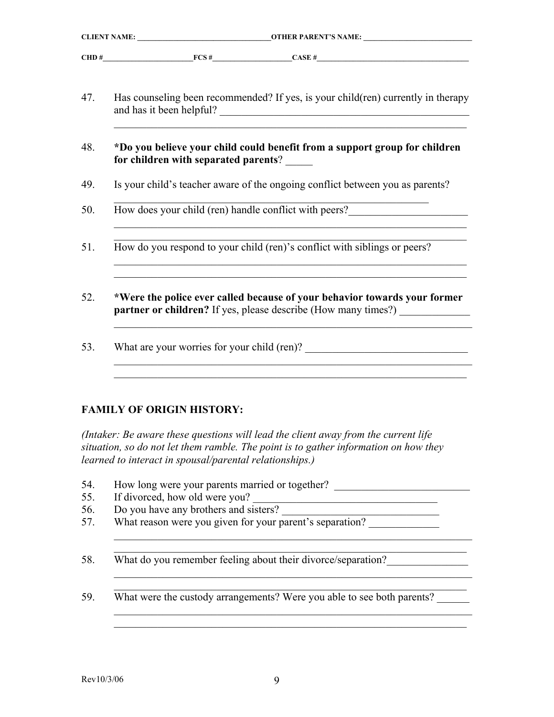| <b>CLIENT NAME: OTHER PARENT'S NAME:</b>                                                                                                           |
|----------------------------------------------------------------------------------------------------------------------------------------------------|
| CHD # $FCS \#$ CASE #                                                                                                                              |
| Has counseling been recommended? If yes, is your child(ren) currently in therapy<br>and has it been helpful?                                       |
| *Do you believe your child could benefit from a support group for children<br>for children with separated parents?                                 |
| Is your child's teacher aware of the ongoing conflict between you as parents?                                                                      |
| How does your child (ren) handle conflict with peers?___________________________                                                                   |
| How do you respond to your child (ren)'s conflict with siblings or peers?                                                                          |
| *Were the police ever called because of your behavior towards your former<br><b>partner or children?</b> If yes, please describe (How many times?) |
|                                                                                                                                                    |
|                                                                                                                                                    |

#### **FAMILY OF ORIGIN HISTORY:**

*(Intaker: Be aware these questions will lead the client away from the current life situation, so do not let them ramble. The point is to gather information on how they learned to interact in spousal/parental relationships.)* 

- 54. How long were your parents married or together?
- 55. If divorced, how old were you?
- 56. Do you have any brothers and sisters?
- 57. What reason were you given for your parent's separation?

58. What do you remember feeling about their divorce/separation?

59. What were the custody arrangements? Were you able to see both parents?

 $\mathcal{L}_\mathcal{L} = \mathcal{L}_\mathcal{L} = \mathcal{L}_\mathcal{L} = \mathcal{L}_\mathcal{L} = \mathcal{L}_\mathcal{L} = \mathcal{L}_\mathcal{L} = \mathcal{L}_\mathcal{L} = \mathcal{L}_\mathcal{L} = \mathcal{L}_\mathcal{L} = \mathcal{L}_\mathcal{L} = \mathcal{L}_\mathcal{L} = \mathcal{L}_\mathcal{L} = \mathcal{L}_\mathcal{L} = \mathcal{L}_\mathcal{L} = \mathcal{L}_\mathcal{L} = \mathcal{L}_\mathcal{L} = \mathcal{L}_\mathcal{L}$  $\mathcal{L}_\mathcal{L} = \mathcal{L}_\mathcal{L} = \mathcal{L}_\mathcal{L} = \mathcal{L}_\mathcal{L} = \mathcal{L}_\mathcal{L} = \mathcal{L}_\mathcal{L} = \mathcal{L}_\mathcal{L} = \mathcal{L}_\mathcal{L} = \mathcal{L}_\mathcal{L} = \mathcal{L}_\mathcal{L} = \mathcal{L}_\mathcal{L} = \mathcal{L}_\mathcal{L} = \mathcal{L}_\mathcal{L} = \mathcal{L}_\mathcal{L} = \mathcal{L}_\mathcal{L} = \mathcal{L}_\mathcal{L} = \mathcal{L}_\mathcal{L}$ 

 $\mathcal{L}_\text{max} = \mathcal{L}_\text{max} = \mathcal{L}_\text{max} = \mathcal{L}_\text{max} = \mathcal{L}_\text{max} = \mathcal{L}_\text{max} = \mathcal{L}_\text{max} = \mathcal{L}_\text{max} = \mathcal{L}_\text{max} = \mathcal{L}_\text{max} = \mathcal{L}_\text{max} = \mathcal{L}_\text{max} = \mathcal{L}_\text{max} = \mathcal{L}_\text{max} = \mathcal{L}_\text{max} = \mathcal{L}_\text{max} = \mathcal{L}_\text{max} = \mathcal{L}_\text{max} = \mathcal{$  $\mathcal{L}_\mathcal{L} = \mathcal{L}_\mathcal{L} = \mathcal{L}_\mathcal{L} = \mathcal{L}_\mathcal{L} = \mathcal{L}_\mathcal{L} = \mathcal{L}_\mathcal{L} = \mathcal{L}_\mathcal{L} = \mathcal{L}_\mathcal{L} = \mathcal{L}_\mathcal{L} = \mathcal{L}_\mathcal{L} = \mathcal{L}_\mathcal{L} = \mathcal{L}_\mathcal{L} = \mathcal{L}_\mathcal{L} = \mathcal{L}_\mathcal{L} = \mathcal{L}_\mathcal{L} = \mathcal{L}_\mathcal{L} = \mathcal{L}_\mathcal{L}$ 

 $\mathcal{L}_\mathcal{L} = \mathcal{L}_\mathcal{L} = \mathcal{L}_\mathcal{L} = \mathcal{L}_\mathcal{L} = \mathcal{L}_\mathcal{L} = \mathcal{L}_\mathcal{L} = \mathcal{L}_\mathcal{L} = \mathcal{L}_\mathcal{L} = \mathcal{L}_\mathcal{L} = \mathcal{L}_\mathcal{L} = \mathcal{L}_\mathcal{L} = \mathcal{L}_\mathcal{L} = \mathcal{L}_\mathcal{L} = \mathcal{L}_\mathcal{L} = \mathcal{L}_\mathcal{L} = \mathcal{L}_\mathcal{L} = \mathcal{L}_\mathcal{L}$  $\mathcal{L}_\text{max} = \frac{1}{2} \sum_{i=1}^n \mathcal{L}_\text{max}(\mathbf{z}_i - \mathbf{z}_i)$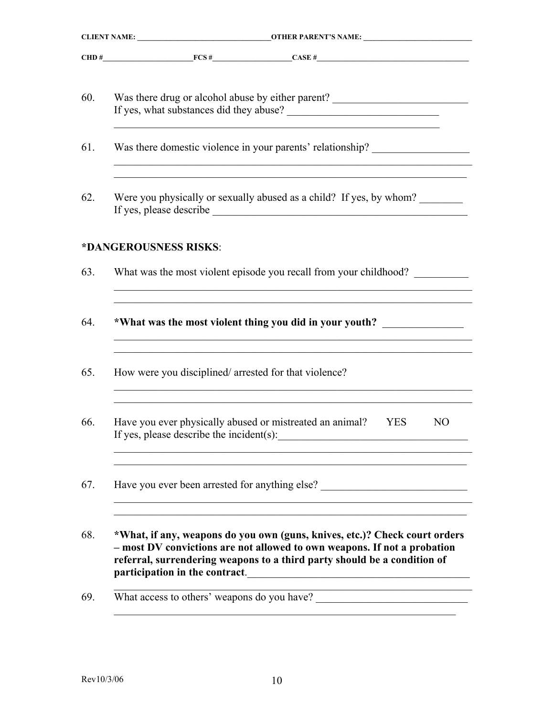|     | CHD #                                                                                                                                                                                                                                                                |
|-----|----------------------------------------------------------------------------------------------------------------------------------------------------------------------------------------------------------------------------------------------------------------------|
| 60. | Was there drug or alcohol abuse by either parent? ______________________________<br><u> 1989 - Johann John Stoff, deutscher Stoff, der Stoff, der Stoff, der Stoff, der Stoff, der Stoff, der Stoff, </u>                                                            |
| 61. | Was there domestic violence in your parents' relationship?                                                                                                                                                                                                           |
| 62. | Were you physically or sexually abused as a child? If yes, by whom?                                                                                                                                                                                                  |
|     | *DANGEROUSNESS RISKS:                                                                                                                                                                                                                                                |
| 63. | What was the most violent episode you recall from your childhood?                                                                                                                                                                                                    |
| 64. | *What was the most violent thing you did in your youth? _______________                                                                                                                                                                                              |
| 65. | How were you disciplined/arrested for that violence?<br>,我们也不能在这里的时候,我们也不能在这里的时候,我们也不能会在这里的时候,我们也不能会在这里的时候,我们也不能会在这里的时候,我们也不能会在这里的时候,我们也                                                                                                                             |
| 66. | Have you ever physically abused or mistreated an animal?<br>N <sub>O</sub><br><b>YES</b><br>If yes, please describe the incident(s):                                                                                                                                 |
| 67. | Have you ever been arrested for anything else?<br><u> 1980 - John Stein, Amerikaansk politiker (</u>                                                                                                                                                                 |
| 68. | *What, if any, weapons do you own (guns, knives, etc.)? Check court orders<br>- most DV convictions are not allowed to own weapons. If not a probation<br>referral, surrendering weapons to a third party should be a condition of<br>participation in the contract. |
| 69. |                                                                                                                                                                                                                                                                      |
|     |                                                                                                                                                                                                                                                                      |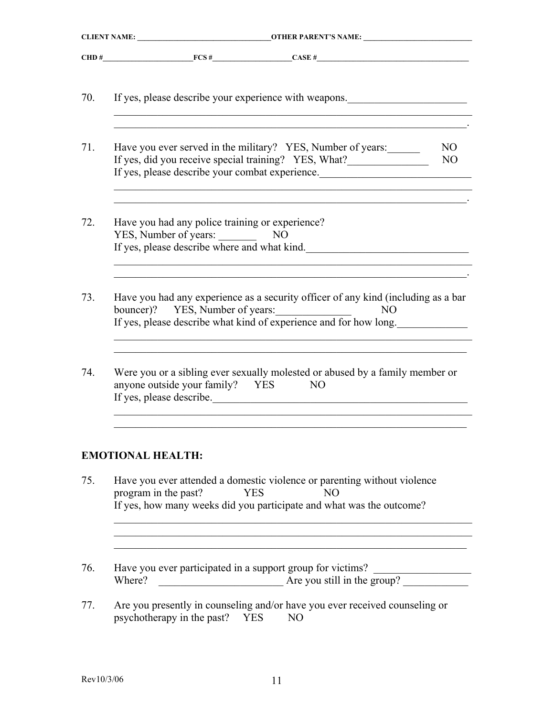| 70. | If yes, please describe your experience with weapons.                                                                                                                                                       |
|-----|-------------------------------------------------------------------------------------------------------------------------------------------------------------------------------------------------------------|
| 71. | Have you ever served in the military? YES, Number of years:<br>N <sub>O</sub><br>If yes, did you receive special training? YES, What?<br>NO <sub>1</sub><br>If yes, please describe your combat experience. |
| 72. | Have you had any police training or experience?<br>YES, Number of years: NO<br>If yes, please describe where and what kind.                                                                                 |
| 73. | Have you had any experience as a security officer of any kind (including as a bar<br>bouncer)? YES, Number of years:<br>N <sub>O</sub><br>If yes, please describe what kind of experience and for how long. |
| 74. | Were you or a sibling ever sexually molested or abused by a family member or<br>anyone outside your family? YES<br>NO<br>If yes, please describe.                                                           |
|     | <b>EMOTIONAL HEALTH:</b>                                                                                                                                                                                    |
| 75. | Have you ever attended a domestic violence or parenting without violence<br>program in the past?<br>N <sub>O</sub><br><b>YES</b><br>If yes, how many weeks did you participate and what was the outcome?    |
| 76. | Have you ever participated in a support group for victims?<br>$\frac{1}{2}$ Are you still in the group?<br>Where?                                                                                           |
| 77. | Are you presently in counseling and/or have you ever received counseling or<br>psychotherapy in the past? YES<br>N <sub>O</sub>                                                                             |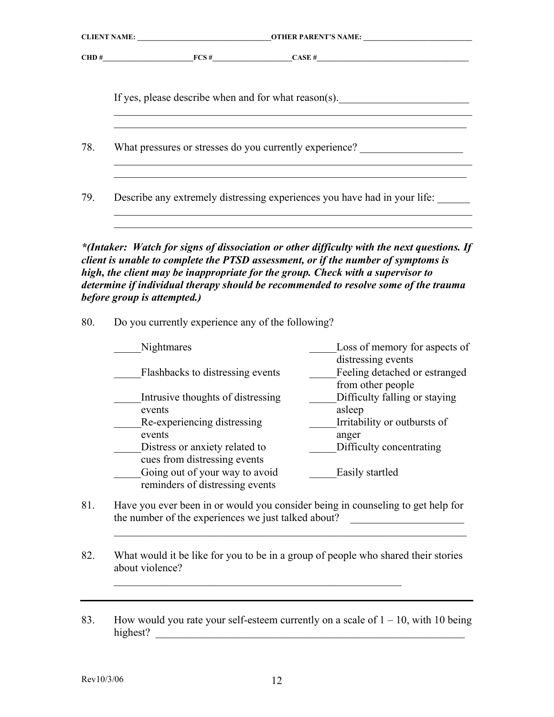|     | If yes, please describe when and for what reason(s).                                                                                                                                                                                                                                                                                                                                     |                                                             |  |  |
|-----|------------------------------------------------------------------------------------------------------------------------------------------------------------------------------------------------------------------------------------------------------------------------------------------------------------------------------------------------------------------------------------------|-------------------------------------------------------------|--|--|
| 78. | What pressures or stresses do you currently experience? ________________________                                                                                                                                                                                                                                                                                                         |                                                             |  |  |
| 79. | Describe any extremely distressing experiences you have had in your life:                                                                                                                                                                                                                                                                                                                | <u> 1989 - Johann Stoff, amerikansk politiker (d. 1989)</u> |  |  |
|     | *(Intaker: Watch for signs of dissociation or other difficulty with the next questions. If<br>client is unable to complete the PTSD assessment, or if the number of symptoms is<br>high, the client may be inappropriate for the group. Check with a supervisor to<br>determine if individual therapy should be recommended to resolve some of the trauma<br>before group is attempted.) |                                                             |  |  |
| 80. | Do you currently experience any of the following?                                                                                                                                                                                                                                                                                                                                        |                                                             |  |  |
|     | Nightmares                                                                                                                                                                                                                                                                                                                                                                               | Loss of memory for aspects of<br>distressing events         |  |  |
|     | Flashbacks to distressing events                                                                                                                                                                                                                                                                                                                                                         | Feeling detached or estranged<br>from other people          |  |  |
|     | Intrusive thoughts of distressing                                                                                                                                                                                                                                                                                                                                                        | Difficulty falling or staying                               |  |  |
|     | events                                                                                                                                                                                                                                                                                                                                                                                   | asleep                                                      |  |  |
|     | Re-experiencing distressing                                                                                                                                                                                                                                                                                                                                                              | Irritability or outbursts of                                |  |  |
|     | events                                                                                                                                                                                                                                                                                                                                                                                   | anger                                                       |  |  |
|     | Distress or anxiety related to                                                                                                                                                                                                                                                                                                                                                           | Difficulty concentrating                                    |  |  |

Going out of your way to avoid Easily startled reminders of distressing events

cues from distressing events

81. Have you ever been in or would you consider being in counseling to get help for the number of the experiences we just talked about?

 $\mathcal{L}_\text{max}$  , and the contribution of the contribution of the contribution of the contribution of the contribution of the contribution of the contribution of the contribution of the contribution of the contribution of t

82. What would it be like for you to be in a group of people who shared their stories about violence?

 $\mathcal{L}_\text{max}$  , and the contract of the contract of the contract of the contract of the contract of the contract of the contract of the contract of the contract of the contract of the contract of the contract of the contr

83. How would you rate your self-esteem currently on a scale of  $1 - 10$ , with 10 being highest? \_\_\_\_\_\_\_\_\_\_\_\_\_\_\_\_\_\_\_\_\_\_\_\_\_\_\_\_\_\_\_\_\_\_\_\_\_\_\_\_\_\_\_\_\_\_\_\_\_\_\_\_\_\_\_\_\_